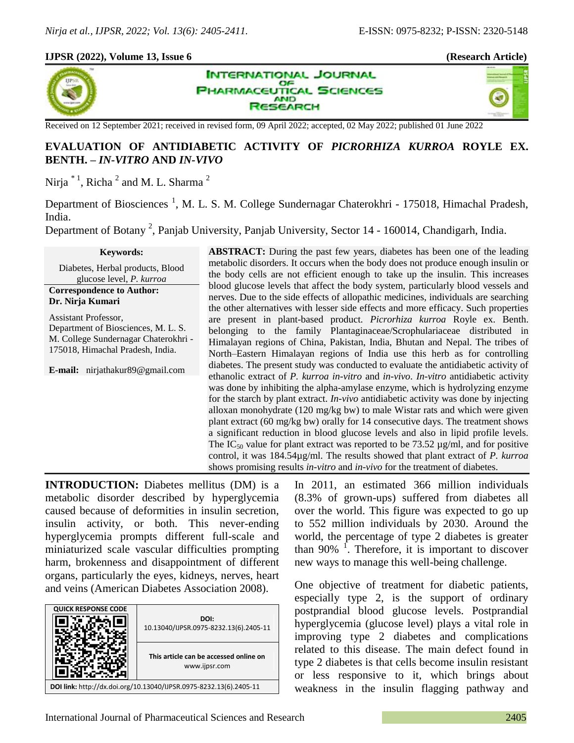## **IJPSR (2022), Volume 13, Issue 6 (Research Article)**



**INTERNATIONAL JOURNAL** OF **PHARMACEUTICAL SCIENCES AND SEARCH** 



Received on 12 September 2021; received in revised form, 09 April 2022; accepted, 02 May 2022; published 01 June 2022

# **EVALUATION OF ANTIDIABETIC ACTIVITY OF** *PICRORHIZA KURROA* **ROYLE EX. BENTH. –** *IN-VITRO* **AND** *IN-VIVO*

Nirja  $^*$ <sup>1</sup>, Richa<sup>2</sup> and M. L. Sharma<sup>2</sup>

Department of Biosciences<sup>1</sup>, M. L. S. M. College Sundernagar Chaterokhri - 175018, Himachal Pradesh, India.

Department of Botany<sup>2</sup>, Panjab University, Panjab University, Sector 14 - 160014, Chandigarh, India.

#### **Keywords:**

Diabetes, Herbal products, Blood glucose level, *P. kurroa*

#### **Correspondence to Author: Dr. Nirja Kumari**

Assistant Professor, Department of Biosciences, M. L. S. M. College Sundernagar Chaterokhri - 175018, Himachal Pradesh, India.

**E-mail:** nirjathakur89@gmail.com

**ABSTRACT:** During the past few years, diabetes has been one of the leading metabolic disorders. It occurs when the body does not produce enough insulin or the body cells are not efficient enough to take up the insulin. This increases blood glucose levels that affect the body system, particularly blood vessels and nerves. Due to the side effects of allopathic medicines, individuals are searching the other alternatives with lesser side effects and more efficacy. Such properties are present in plant-based product. *Picrorhiza kurroa* Royle ex. Benth. belonging to the family Plantaginaceae/Scrophulariaceae distributed in Himalayan regions of China, Pakistan, India, Bhutan and Nepal. The tribes of North–Eastern Himalayan regions of India use this herb as for controlling diabetes. The present study was conducted to evaluate the antidiabetic activity of ethanolic extract of *P. kurroa in-vitro* and *in-vivo*. *In-vitro* antidiabetic activity was done by inhibiting the alpha-amylase enzyme, which is hydrolyzing enzyme for the starch by plant extract. *In-vivo* antidiabetic activity was done by injecting alloxan monohydrate (120 mg/kg bw) to male Wistar rats and which were given plant extract (60 mg/kg bw) orally for 14 consecutive days. The treatment shows a significant reduction in blood glucose levels and also in lipid profile levels. The  $IC_{50}$  value for plant extract was reported to be 73.52  $\mu$ g/ml, and for positive control, it was 184.54µg/ml. The results showed that plant extract of *P. kurroa* shows promising results *in-vitro* and *in-vivo* for the treatment of diabetes.

**INTRODUCTION:** Diabetes mellitus (DM) is a metabolic disorder described by hyperglycemia caused because of deformities in insulin secretion, insulin activity, or both. This never-ending hyperglycemia prompts different full-scale and miniaturized scale vascular difficulties prompting harm, brokenness and disappointment of different organs, particularly the eyes, kidneys, nerves, heart and veins (American Diabetes Association 2008).

| <b>QUICK RESPONSE CODE</b>                                         |                                                         |  |  |  |
|--------------------------------------------------------------------|---------------------------------------------------------|--|--|--|
|                                                                    | DOI:<br>10.13040/IJPSR.0975-8232.13(6).2405-11          |  |  |  |
|                                                                    | This article can be accessed online on<br>www.ijpsr.com |  |  |  |
| DOI link: http://dx.doi.org/10.13040/IJPSR.0975-8232.13(6).2405-11 |                                                         |  |  |  |

In 2011, an estimated 366 million individuals (8.3% of grown-ups) suffered from diabetes all over the world. This figure was expected to go up to 552 million individuals by 2030. Around the world, the percentage of type 2 diabetes is greater than  $90\%$ <sup>1</sup>. Therefore, it is important to discover new ways to manage this well-being challenge.

One objective of treatment for diabetic patients, especially type 2, is the support of ordinary postprandial blood glucose levels. Postprandial hyperglycemia (glucose level) plays a vital role in improving type 2 diabetes and complications related to this disease. The main defect found in type 2 diabetes is that cells become insulin resistant or less responsive to it, which brings about weakness in the insulin flagging pathway and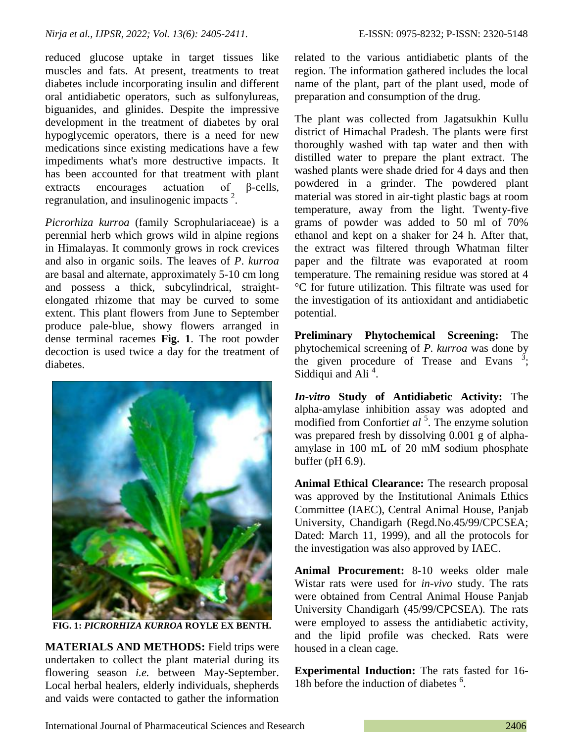reduced glucose uptake in target tissues like muscles and fats. At present, treatments to treat diabetes include incorporating insulin and different oral antidiabetic operators, such as sulfonylureas, biguanides, and glinides. Despite the impressive development in the treatment of diabetes by oral hypoglycemic operators, there is a need for new medications since existing medications have a few impediments what's more destructive impacts. It has been accounted for that treatment with plant extracts encourages actuation of β-cells, regranulation, and insulinogenic impacts  $2$ .

*Picrorhiza kurroa* (family Scrophulariaceae) is a perennial herb which grows wild in alpine regions in Himalayas. It commonly grows in rock crevices and also in organic soils. The leaves of *P*. *kurroa* are basal and alternate, approximately 5-10 cm long and possess a thick, subcylindrical, straightelongated rhizome that may be curved to some extent. This plant flowers from June to September produce pale-blue, showy flowers arranged in dense terminal racemes **Fig. 1**. The root powder decoction is used twice a day for the treatment of diabetes.



**FIG. 1:** *PICRORHIZA KURROA* **ROYLE EX BENTH.**

**MATERIALS AND METHODS:** Field trips were undertaken to collect the plant material during its flowering season *i.e.* between May-September. Local herbal healers, elderly individuals, shepherds and vaids were contacted to gather the information related to the various antidiabetic plants of the region. The information gathered includes the local name of the plant, part of the plant used, mode of preparation and consumption of the drug.

The plant was collected from Jagatsukhin Kullu district of Himachal Pradesh. The plants were first thoroughly washed with tap water and then with distilled water to prepare the plant extract. The washed plants were shade dried for 4 days and then powdered in a grinder. The powdered plant material was stored in air-tight plastic bags at room temperature, away from the light. Twenty-five grams of powder was added to 50 ml of 70% ethanol and kept on a shaker for 24 h. After that, the extract was filtered through Whatman filter paper and the filtrate was evaporated at room temperature. The remaining residue was stored at 4 °C for future utilization. This filtrate was used for the investigation of its antioxidant and antidiabetic potential.

**Preliminary Phytochemical Screening:** The phytochemical screening of *P. kurroa* was done by the given procedure of Trease and Evans  $\frac{3}{2}$ ; Siddiqui and Ali<sup>4</sup>.

*In-vitro* **Study of Antidiabetic Activity:** The alpha-amylase inhibition assay was adopted and modified from Confortiet al<sup>5</sup>. The enzyme solution was prepared fresh by dissolving 0.001 g of alphaamylase in 100 mL of 20 mM sodium phosphate buffer (pH 6.9).

**Animal Ethical Clearance:** The research proposal was approved by the Institutional Animals Ethics Committee (IAEC), Central Animal House, Panjab University, Chandigarh (Regd.No.45/99/CPCSEA; Dated: March 11, 1999), and all the protocols for the investigation was also approved by IAEC.

**Animal Procurement:** 8-10 weeks older male Wistar rats were used for *in-vivo* study. The rats were obtained from Central Animal House Panjab University Chandigarh (45/99/CPCSEA). The rats were employed to assess the antidiabetic activity, and the lipid profile was checked. Rats were housed in a clean cage.

**Experimental Induction:** The rats fasted for 16- 18h before the induction of diabetes <sup>6</sup> .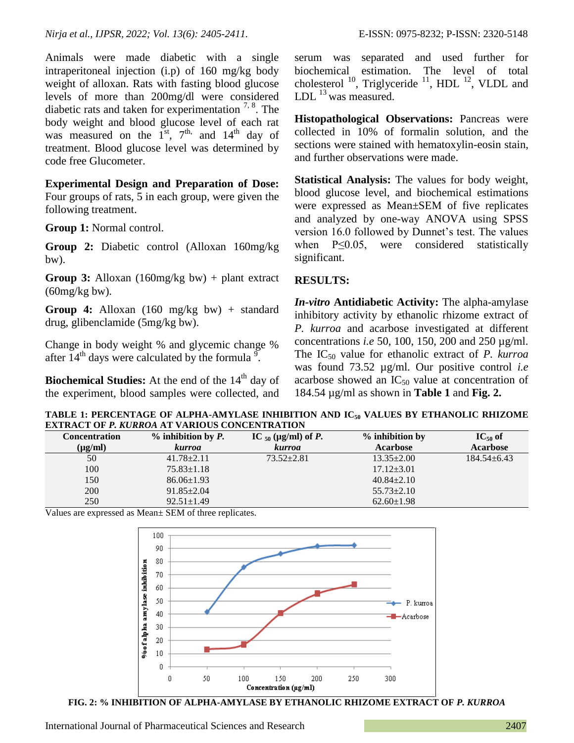Animals were made diabetic with a single intraperitoneal injection (i.p) of 160 mg/kg body weight of alloxan. Rats with fasting blood glucose levels of more than 200mg/dl were considered diabetic rats and taken for experimentation  $7, 8$ . The body weight and blood glucose level of each rat was measured on the  $1^{st}$ ,  $7^{th}$ , and  $14^{th}$  day of treatment. Blood glucose level was determined by code free Glucometer.

**Experimental Design and Preparation of Dose:**  Four groups of rats, 5 in each group, were given the following treatment.

**Group 1:** Normal control.

**Group 2:** Diabetic control (Alloxan 160mg/kg bw).

**Group 3:** Alloxan (160mg/kg bw) + plant extract  $(60mg/kg$  bw).

**Group 4:** Alloxan (160 mg/kg bw) + standard drug, glibenclamide (5mg/kg bw).

Change in body weight % and glycemic change % after  $14<sup>th</sup>$  days were calculated by the formula  $\frac{9}{1}$ .

**Biochemical Studies:** At the end of the 14<sup>th</sup> day of the experiment, blood samples were collected, and serum was separated and used further for biochemical estimation. The level of total cholesterol  $^{10}$ , Triglyceride  $^{11}$ , HDL  $^{12}$ , VLDL and LDL  $^{13}$  was measured.

**Histopathological Observations:** Pancreas were collected in 10% of formalin solution, and the sections were stained with hematoxylin-eosin stain, and further observations were made.

**Statistical Analysis:** The values for body weight, blood glucose level, and biochemical estimations were expressed as Mean±SEM of five replicates and analyzed by one-way ANOVA using SPSS version 16.0 followed by Dunnet's test. The values when P≤0.05, were considered statistically significant.

## **RESULTS:**

*In-vitro* **Antidiabetic Activity:** The alpha-amylase inhibitory activity by ethanolic rhizome extract of *P. kurroa* and acarbose investigated at different concentrations *i.e* 50, 100, 150, 200 and 250 µg/ml. The IC<sup>50</sup> value for ethanolic extract of *P. kurroa* was found 73.52 µg/ml. Our positive control *i.e* acarbose showed an  $IC_{50}$  value at concentration of 184.54 µg/ml as shown in **Table 1** and **Fig. 2.**

**TABLE 1: PERCENTAGE OF ALPHA-AMYLASE INHIBITION AND IC<sup>50</sup> VALUES BY ETHANOLIC RHIZOME EXTRACT OF** *P. KURROA* **AT VARIOUS CONCENTRATION**

| Concentration     | $%$ inhibition by P. | IC $_{50}$ (µg/ml) of <i>P</i> . | % inhibition by  | $IC_{50}$ of    |
|-------------------|----------------------|----------------------------------|------------------|-----------------|
| $(\mu\varrho/ml)$ | <i>kurroa</i>        | <i>kurroa</i>                    | <b>Acarbose</b>  | <b>Acarbose</b> |
| 50                | $41.78 + 2.11$       | $73.52 \pm 2.81$                 | $13.35 + 2.00$   | $184.54 + 6.43$ |
| 100               | $75.83 \pm 1.18$     |                                  | $17.12 \pm 3.01$ |                 |
| 150               | $86.06 \pm 1.93$     |                                  | $40.84 + 2.10$   |                 |
| 200               | $91.85 \pm 2.04$     |                                  | $55.73 \pm 2.10$ |                 |
| 250               | $92.51 \pm 1.49$     |                                  | $62.60 \pm 1.98$ |                 |

Values are expressed as Mean± SEM of three replicates.



**FIG. 2: % INHIBITION OF ALPHA-AMYLASE BY ETHANOLIC RHIZOME EXTRACT OF** *P. KURROA*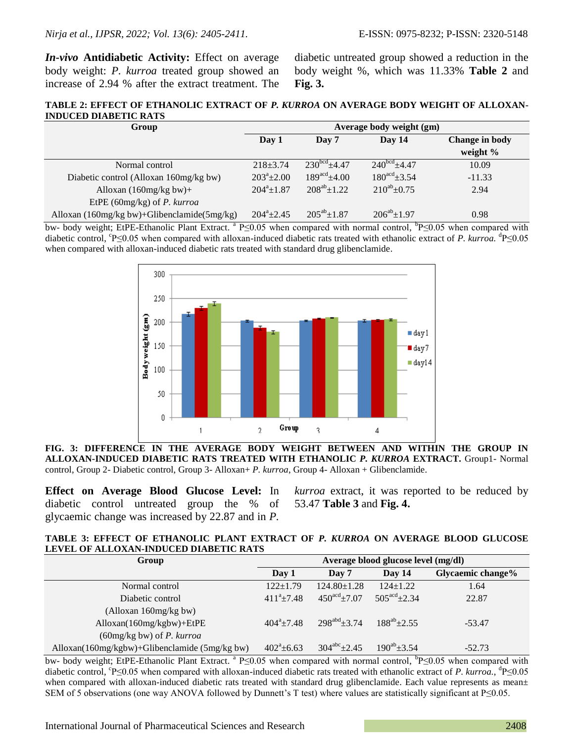*In-vivo* **Antidiabetic Activity:** Effect on average body weight: *P. kurroa* treated group showed an increase of 2.94 % after the extract treatment. The

diabetic untreated group showed a reduction in the body weight %, which was 11.33% **Table 2** and **Fig. 3.**

**TABLE 2: EFFECT OF ETHANOLIC EXTRACT OF** *P. KURROA* **ON AVERAGE BODY WEIGHT OF ALLOXAN-INDUCED DIABETIC RATS**

| Group                                            |                  | Average body weight (gm)  |                            |                |
|--------------------------------------------------|------------------|---------------------------|----------------------------|----------------|
|                                                  | Day 1            | Day 14<br>Day 7           |                            | Change in body |
|                                                  |                  |                           |                            | weight $\%$    |
| Normal control                                   | $218 \pm 3.74$   | $230^{bcd} + 4.47$        | $240^{bcd}$ +4.47          | 10.09          |
| Diabetic control (Alloxan 160mg/kg bw)           | $203^a \pm 2.00$ | $189^{\text{acd}}\pm4.00$ | $180^{\text{acd}}\pm 3.54$ | $-11.33$       |
| Alloxan $(160mg/kg$ bw $)+$                      | $204^a \pm 1.87$ | $208^{ab} \pm 1.22$       | $210^{ab} \pm 0.75$        | 2.94           |
| EtPE (60mg/kg) of P. kurroa                      |                  |                           |                            |                |
| Alloxan $(160mg/kg$ bw)+Glibenclamide $(5mg/kg)$ | $204^a + 2.45$   | $205^{ab} \pm 1.87$       | $206^{ab}$ + 1.97          | 0.98           |

bw- body weight; EtPE-Ethanolic Plant Extract. <sup>a</sup> P≤0.05 when compared with normal control, <sup>b</sup>P≤0.05 when compared with diabetic control, °P≤0.05 when compared with alloxan-induced diabetic rats treated with ethanolic extract of *P. kurroa*. <sup>d</sup>P≤0.05 when compared with alloxan-induced diabetic rats treated with standard drug glibenclamide.



**FIG. 3: DIFFERENCE IN THE AVERAGE BODY WEIGHT BETWEEN AND WITHIN THE GROUP IN ALLOXAN-INDUCED DIABETIC RATS TREATED WITH ETHANOLIC** *P. KURROA* **EXTRACT.** Group1- Normal control, Group 2- Diabetic control, Group 3- Alloxan+ *P. kurroa*, Group 4- Alloxan + Glibenclamide.

**Effect on Average Blood Glucose Level:** In diabetic control untreated group the % of glycaemic change was increased by 22.87 and in *P.*  53.47 **Table 3** and **Fig. 4.**

*kurroa* extract, it was reported to be reduced by

#### **TABLE 3: EFFECT OF ETHANOLIC PLANT EXTRACT OF** *P. KURROA* **ON AVERAGE BLOOD GLUCOSE LEVEL OF ALLOXAN-INDUCED DIABETIC RATS**

| Group                                         | Average blood glucose level (mg/dl) |                           |                         |                   |  |
|-----------------------------------------------|-------------------------------------|---------------------------|-------------------------|-------------------|--|
|                                               | Day 1                               | Day 7                     | Day $14$                | Glycaemic change% |  |
| Normal control                                | $122+1.79$                          | $124.80 \pm 1.28$         | $124+1.22$              | 1.64              |  |
| Diabetic control                              | $411^a \pm 7.48$                    | $450^{\text{acd}}\pm7.07$ | $505^{\text{acd}}+2.34$ | 22.87             |  |
| (Alloxan 160mg/kg bw)                         |                                     |                           |                         |                   |  |
| Alloxan(160mg/kgbw)+EtPE                      | $404^a + 7.48$                      | $298^{abd}+3.74$          | $188^{ab}+2.55$         | $-53.47$          |  |
| $(60mg/kg$ bw) of <i>P. kurroa</i>            |                                     |                           |                         |                   |  |
| Alloxan(160mg/kgbw)+Glibenclamide (5mg/kg bw) | $402^{\circ}$ ±6.63                 | $304^{abc} \pm 2.45$      | $190^{ab}$ + 3.54       | $-52.73$          |  |

bw- body weight; EtPE-Ethanolic Plant Extract. <sup>a</sup> P≤0.05 when compared with normal control, <sup>b</sup>P≤0.05 when compared with diabetic control, P≤0.05 when compared with alloxan-induced diabetic rats treated with ethanolic extract of *P. kurroa.*, <sup>d</sup>P≤0.05 when compared with alloxan-induced diabetic rats treated with standard drug glibenclamide. Each value represents as mean $\pm$ SEM of 5 observations (one way ANOVA followed by Dunnett's T test) where values are statistically significant at P≤0.05.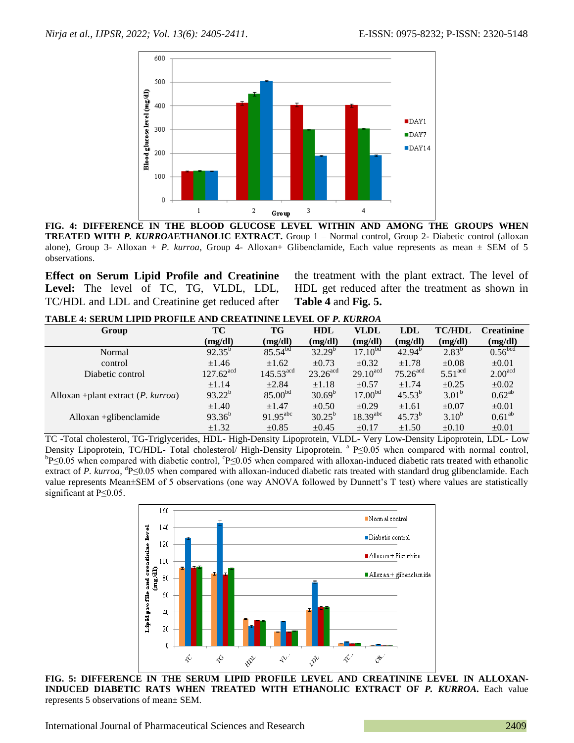

**FIG. 4: DIFFERENCE IN THE BLOOD GLUCOSE LEVEL WITHIN AND AMONG THE GROUPS WHEN TREATED WITH** *P. KURROA***ETHANOLIC EXTRACT.** Group 1 – Normal control, Group 2- Diabetic control (alloxan alone), Group 3- Alloxan + *P. kurroa*, Group 4- Alloxan+ Glibenclamide, Each value represents as mean  $\pm$  SEM of 5 observations.

**Effect on Serum Lipid Profile and Creatinine Level:** The level of TC, TG, VLDL, LDL, TC/HDL and LDL and Creatinine get reduced after the treatment with the plant extract. The level of HDL get reduced after the treatment as shown in **Table 4** and **Fig. 5.**

**TABLE 4: SERUM LIPID PROFILE AND CREATININE LEVEL OF** *P. KURROA*

| Group                                         | TC                      | TG                    | <b>HDL</b>             | VLDL                   | <b>LDL</b>             | <b>TC/HDL</b>         | <b>Creatinine</b>   |
|-----------------------------------------------|-------------------------|-----------------------|------------------------|------------------------|------------------------|-----------------------|---------------------|
|                                               | (mg/dl)                 | (mg/dl)               | (mg/dl)                | (mg/dl)                | (mg/dl)                | (mg/dl)               | (mg/dl)             |
| Normal                                        | $92.35^{b}$             | $85.54^{bd}$          | $32.29^{b}$            | $17.10^{bd}$           | $42.94^{b}$            | $2.83^{b}$            | 0.56 <sup>bcd</sup> |
| control                                       | $\pm 1.46$              | $\pm 1.62$            | $\pm 0.73$             | $\pm 0.32$             | $\pm 1.78$             | $\pm 0.08$            | $\pm 0.01$          |
| Diabetic control                              | $127.62$ <sup>acd</sup> | $145.53^{\text{acd}}$ | $23.26$ <sup>acd</sup> | $29.10$ <sup>acd</sup> | $75.26$ <sup>acd</sup> | $5.51$ <sup>acd</sup> | 2.00 <sup>acd</sup> |
|                                               | $\pm 1.14$              | $\pm 2.84$            | $\pm 1.18$             | $\pm 0.57$             | $\pm 1.74$             | $\pm 0.25$            | $\pm 0.02$          |
| Alloxan + plant extract $(P. \text{ kurrea})$ | $93.22^{b}$             | $85.00^{bd}$          | $30.69^b$              | $17.00^{bd}$           | $45.53^{b}$            | $3.01^{\rm b}$        | $0.62^{ab}$         |
|                                               | $\pm 1.40$              | $\pm 1.47$            | $\pm 0.50$             | $\pm 0.29$             | $\pm 1.61$             | $\pm 0.07$            | $\pm 0.01$          |
| $Alloxan + glibenclamide$                     | $93.36^{b}$             | $91.95^{abc}$         | $30.25^{b}$            | $18.39$ <sup>abc</sup> | $45.73^{b}$            | $3.10^{b}$            | $0.61^{ab}$         |
|                                               | $\pm 1.32$              | $\pm 0.85$            | $\pm 0.45$             | $\pm 0.17$             | ±1.50                  | $\pm 0.10$            | $\pm 0.01$          |

TC -Total cholesterol, TG-Triglycerides, HDL- High-Density Lipoprotein, VLDL- Very Low-Density Lipoprotein, LDL- Low Density Lipoprotein, TC/HDL- Total cholesterol/ High-Density Lipoprotein. <sup>a</sup> P≤0.05 when compared with normal control,  $\rm{^{b}P \leq }0.05$  when compared with diabetic control,  $\rm{^{c}P \leq }0.05$  when compared with alloxan-induced diabetic rats treated with ethanolic extract of *P. kurroa*, <sup>d</sup>P≤0.05 when compared with alloxan-induced diabetic rats treated with standard drug glibenclamide. Each value represents Mean±SEM of 5 observations (one way ANOVA followed by Dunnett's T test) where values are statistically significant at P≤0.05.



**FIG. 5: DIFFERENCE IN THE SERUM LIPID PROFILE LEVEL AND CREATININE LEVEL IN ALLOXAN-INDUCED DIABETIC RATS WHEN TREATED WITH ETHANOLIC EXTRACT OF** *P. KURROA***.** Each value represents 5 observations of mean± SEM.

International Journal of Pharmaceutical Sciences and Research 2409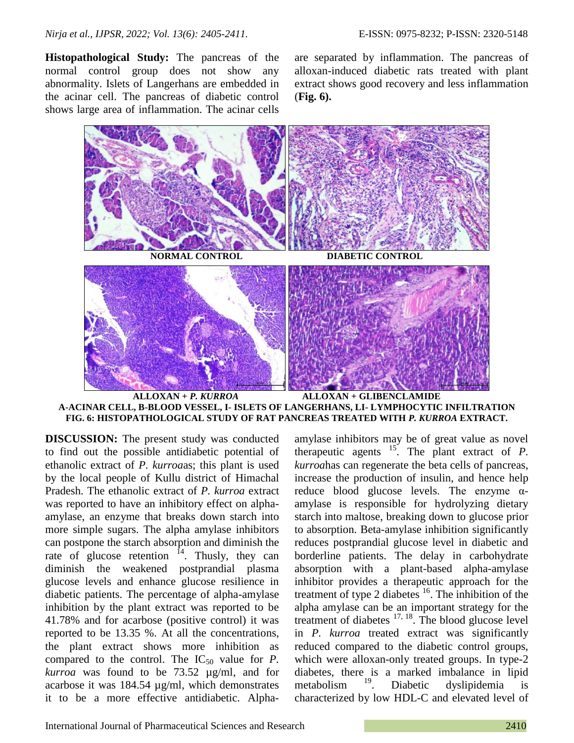**Histopathological Study:** The pancreas of the normal control group does not show any abnormality. Islets of Langerhans are embedded in the acinar cell. The pancreas of diabetic control shows large area of inflammation. The acinar cells are separated by inflammation. The pancreas of alloxan-induced diabetic rats treated with plant extract shows good recovery and less inflammation (**Fig. 6).**





**DISCUSSION:** The present study was conducted to find out the possible antidiabetic potential of ethanolic extract of *P. kurroa*as; this plant is used by the local people of Kullu district of Himachal Pradesh. The ethanolic extract of *P. kurroa* extract was reported to have an inhibitory effect on alphaamylase, an enzyme that breaks down starch into more simple sugars. The alpha amylase inhibitors can postpone the starch absorption and diminish the rate of glucose retention  $^{14}$ . Thusly, they can diminish the weakened postprandial plasma glucose levels and enhance glucose resilience in diabetic patients. The percentage of alpha-amylase inhibition by the plant extract was reported to be 41.78% and for acarbose (positive control) it was reported to be 13.35 %. At all the concentrations, the plant extract shows more inhibition as compared to the control. The  $IC_{50}$  value for *P*. *kurroa* was found to be 73.52 µg/ml, and for acarbose it was 184.54 µg/ml, which demonstrates it to be a more effective antidiabetic. Alpha-

amylase inhibitors may be of great value as novel therapeutic agents  $15$ . The plant extract of *P*. *kurroa*has can regenerate the beta cells of pancreas, increase the production of insulin, and hence help reduce blood glucose levels. The enzyme  $\alpha$ amylase is responsible for hydrolyzing dietary starch into maltose, breaking down to glucose prior to absorption. Beta-amylase inhibition significantly reduces postprandial glucose level in diabetic and borderline patients. The delay in carbohydrate absorption with a plant-based alpha-amylase inhibitor provides a therapeutic approach for the treatment of type 2 diabetes  $16$ . The inhibition of the alpha amylase can be an important strategy for the treatment of diabetes  $17, 18$ . The blood glucose level in *P. kurroa* treated extract was significantly reduced compared to the diabetic control groups, which were alloxan-only treated groups. In type-2 diabetes, there is a marked imbalance in lipid metabolism<sup>19</sup>. Diabetic dyslipidemia is characterized by low HDL-C and elevated level of